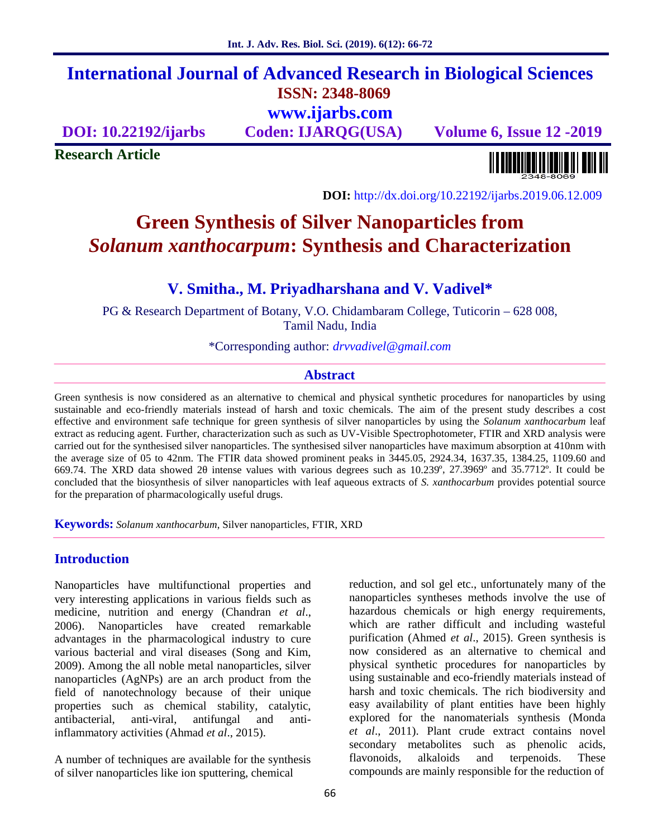## **International Journal of Advanced Research in Biological Sciences ISSN: 2348-8069 www.ijarbs.com**

**DOI: 10.22192/ijarbs Coden: IJARQG(USA) Volume 6, Issue 12 -2019**

**Research Article**

<u> Alban kalendari kalendar pada sebagai pengangkan pada atau pada atau pada atau sebagai pada atau salah pada a</u>

**DOI:** http://dx.doi.org/10.22192/ijarbs.2019.06.12.009

# **Green Synthesis of Silver Nanoparticles from** *Solanum xanthocarpum***: Synthesis and Characterization**

## **V. Smitha., M. Priyadharshana and V. Vadivel\***

PG & Research Department of Botany, V.O. Chidambaram College, Tuticorin – 628 008, Tamil Nadu, India

\*Corresponding author: *drvvadivel@gmail.com*

#### **Abstract**

Green synthesis is now considered as an alternative to chemical and physical synthetic procedures for nanoparticles by using sustainable and eco-friendly materials instead of harsh and toxic chemicals. The aim of the present study describes a cost effective and environment safe technique for green synthesis of silver nanoparticles by using the *Solanum xanthocarbum* leaf extract as reducing agent. Further, characterization such as such as UV-Visible Spectrophotometer, FTIR and XRD analysis were carried out for the synthesised silver nanoparticles. The synthesised silver nanoparticles have maximum absorption at 410nm with the average size of 05 to 42nm. The FTIR data showed prominent peaks in 3445.05, 2924.34, 1637.35, 1384.25, 1109.60 and 669.74. The XRD data showed 2θ intense values with various degrees such as 10.239º, 27.3969º and 35.7712º. It could be concluded that the biosynthesis of silver nanoparticles with leaf aqueous extracts of *S. xanthocarbum* provides potential source for the preparation of pharmacologically useful drugs.

**Keywords:** *Solanum xanthocarbum*, Silver nanoparticles, FTIR, XRD

## **Introduction**

Nanoparticles have multifunctional properties and very interesting applications in various fields such as medicine, nutrition and energy (Chandran *et al*., 2006). Nanoparticles have created remarkable advantages in the pharmacological industry to cure various bacterial and viral diseases (Song and Kim, 2009). Among the all noble metal nanoparticles, silver nanoparticles (AgNPs) are an arch product from the field of nanotechnology because of their unique properties such as chemical stability, catalytic, antibacterial, anti-viral, antifungal and antiinflammatory activities (Ahmad *et al*., 2015).

A number of techniques are available for the synthesis of silver nanoparticles like ion sputtering, chemical

reduction, and sol gel etc., unfortunately many of the nanoparticles syntheses methods involve the use of hazardous chemicals or high energy requirements, which are rather difficult and including wasteful purification (Ahmed *et al*., 2015). Green synthesis is now considered as an alternative to chemical and physical synthetic procedures for nanoparticles by using sustainable and eco-friendly materials instead of harsh and toxic chemicals. The rich biodiversity and easy availability of plant entities have been highly explored for the nanomaterials synthesis (Monda *et al*., 2011). Plant crude extract contains novel secondary metabolites such as phenolic acids, flavonoids, alkaloids and terpenoids. These compounds are mainly responsible for the reduction of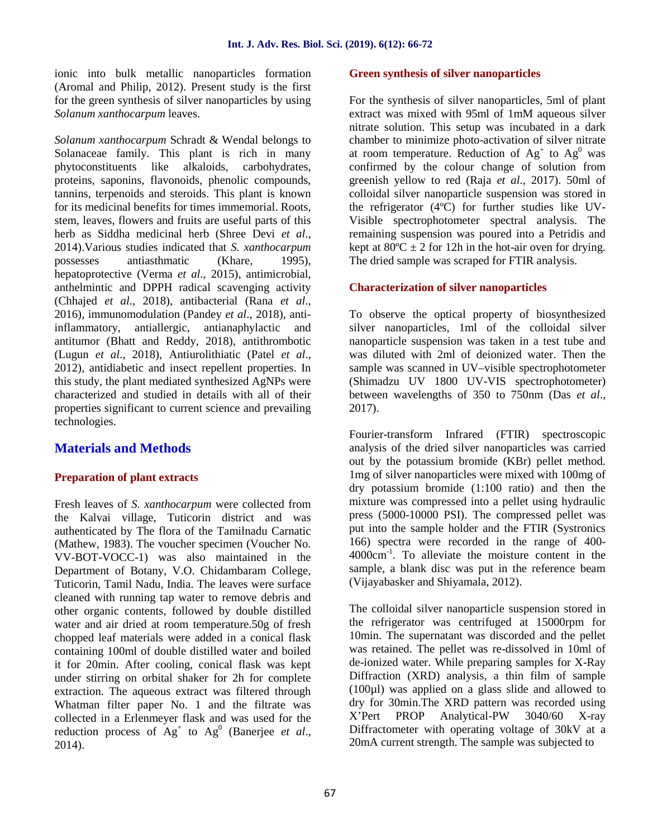ionic into bulk metallic nanoparticles formation (Aromal and Philip, 2012). Present study is the first for the green synthesis of silver nanoparticles by using *Solanum xanthocarpum* leaves.

*Solanum xanthocarpum* Schradt & Wendal belongs to Solanaceae family. This plant is rich in many phytoconstituents like alkaloids, carbohydrates, proteins, saponins, flavonoids, phenolic compounds, tannins, terpenoids and steroids. This plant is known for its medicinal benefits for times immemorial. Roots, stem, leaves, flowers and fruits are useful parts of this herb as Siddha medicinal herb (Shree Devi *et al*., 2014).Various studies indicated that *S. xanthocarpum* possesses antiasthmatic (Khare, 1995), hepatoprotective (Verma *et al*., 2015), antimicrobial, anthelmintic and DPPH radical scavenging activity (Chhajed *et al*., 2018), antibacterial (Rana *et al*., 2016), immunomodulation (Pandey *et al*., 2018), antiinflammatory, antiallergic, antianaphylactic and antitumor (Bhatt and Reddy, 2018), antithrombotic (Lugun *et al*., 2018), Antiurolithiatic (Patel *et al*., 2012), antidiabetic and insect repellent properties. In this study, the plant mediated synthesized AgNPs were characterized and studied in details with all of their properties significant to current science and prevailing technologies.

## **Materials and Methods**

## **Preparation of plant extracts**

Fresh leaves of *S. xanthocarpum* were collected from the Kalvai village, Tuticorin district and was authenticated by The flora of the Tamilnadu Carnatic (Mathew, 1983). The voucher specimen (Voucher No. VV-BOT-VOCC-1) was also maintained in the Department of Botany, V.O. Chidambaram College, Tuticorin, Tamil Nadu, India. The leaves were surface cleaned with running tap water to remove debris and other organic contents, followed by double distilled water and air dried at room temperature.50g of fresh chopped leaf materials were added in a conical flask containing 100ml of double distilled water and boiled it for 20min. After cooling, conical flask was kept under stirring on orbital shaker for 2h for complete extraction. The aqueous extract was filtered through Whatman filter paper No. 1 and the filtrate was collected in a Erlenmeyer flask and was used for the X'Pert PROP reduction process of  $Ag<sup>+</sup>$  to  $Ag<sup>0</sup>$  (Banerjee *et al.*, 2014).

#### **Green synthesis of silver nanoparticles**

For the synthesis of silver nanoparticles, 5ml of plant extract was mixed with 95ml of 1mM aqueous silver nitrate solution. This setup was incubated in a dark chamber to minimize photo-activation of silver nitrate at room temperature. Reduction of  $Ag^+$  to  $Ag^0$  was confirmed by the colour change of solution from greenish yellow to red (Raja *et al*., 2017). 50ml of colloidal silver nanoparticle suspension was stored in the refrigerator (4ºC) for further studies like UV- Visible spectrophotometer spectral analysis. The remaining suspension was poured into a Petridis and kept at  $80^{\circ}$ C  $\pm$  2 for 12h in the hot-air oven for drying. The dried sample was scraped for FTIR analysis.

#### **Characterization of silver nanoparticles**

To observe the optical property of biosynthesized silver nanoparticles, 1ml of the colloidal silver nanoparticle suspension was taken in a test tube and was diluted with 2ml of deionized water. Then the sample was scanned in UV–visible spectrophotometer (Shimadzu UV 1800 UV-VIS spectrophotometer) between wavelengths of 350 to 750nm (Das *et al*., 2017).

Fourier-transform Infrared (FTIR) spectroscopic analysis of the dried silver nanoparticles was carried out by the potassium bromide (KBr) pellet method. 1mg of silver nanoparticles were mixed with 100mg of dry potassium bromide (1:100 ratio) and then the mixture was compressed into a pellet using hydraulic press (5000-10000 PSI). The compressed pellet was put into the sample holder and the FTIR (Systronics 166) spectra were recorded in the range of 400- 4000cm-1 . To alleviate the moisture content in the sample, a blank disc was put in the reference beam (Vijayabasker and Shiyamala, 2012).

The colloidal silver nanoparticle suspension stored in the refrigerator was centrifuged at 15000rpm for 10min. The supernatant was discorded and the pellet was retained. The pellet was re-dissolved in 10ml of de-ionized water. While preparing samples for X-Ray Diffraction (XRD) analysis, a thin film of sample (100µl) was applied on a glass slide and allowed to dry for 30min.The XRD pattern was recorded using Analytical-PW 3040/60 X-ray Diffractometer with operating voltage of 30kV at a 20mA current strength. The sample was subjected to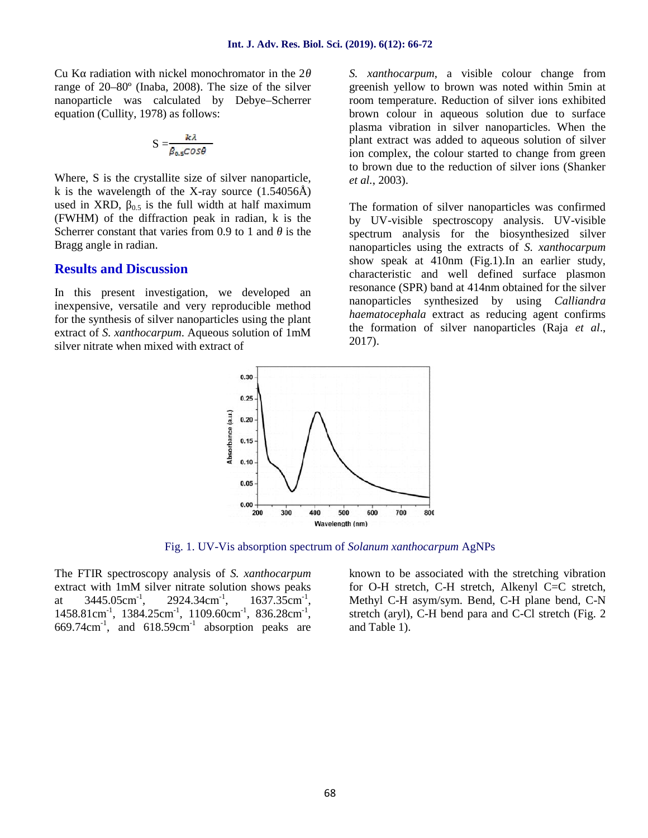$Cu K$  radiation with nickel monochromator in the 2 range of 20–80º (Inaba, 2008). The size of the silver nanoparticle was calculated by Debye–Scherrer equation (Cullity, 1978) as follows:

$$
S = \frac{k\lambda}{\beta_{0.5} \cos \theta}
$$

Where, S is the crystallite size of silver nanoparticle, k is the wavelength of the X-ray source  $(1.54056\text{\AA})$ used in XRD,  $\beta$ <sub>0.5</sub> is the full width at half maximum</sub> (FWHM) of the diffraction peak in radian, k is the Scherrer constant that varies from 0.9 to 1 and is the Bragg angle in radian.

#### **Results and Discussion**

In this present investigation, we developed an inexpensive, versatile and very reproducible method for the synthesis of silver nanoparticles using the plant extract of *S. xanthocarpum*. Aqueous solution of 1mM silver nitrate when mixed with extract of

*S. xanthocarpum*, a visible colour change from greenish yellow to brown was noted within 5min at room temperature. Reduction of silver ions exhibited brown colour in aqueous solution due to surface plasma vibration in silver nanoparticles. When the plant extract was added to aqueous solution of silver ion complex, the colour started to change from green to brown due to the reduction of silver ions (Shanker *et al.*, 2003).

The formation of silver nanoparticles was confirmed by UV-visible spectroscopy analysis. UV-visible spectrum analysis for the biosynthesized silver nanoparticles using the extracts of *S. xanthocarpum* show speak at 410nm (Fig.1).In an earlier study, characteristic and well defined surface plasmon resonance (SPR) band at 414nm obtained for the silver nanoparticles synthesized by using *Calliandra haematocephala* extract as reducing agent confirms the formation of silver nanoparticles (Raja *et al*., 2017).



Fig. 1. UV-Vis absorption spectrum of *Solanum xanthocarpum* AgNPs

The FTIR spectroscopy analysis of *S. xanthocarpum* extract with 1mM silver nitrate solution shows peaks at  $3445.05 \text{cm}^{-1}$ ,  $2924.34 \text{cm}^{-1}$ ,  $, 1637.35 \text{cm}^{-1},$  $1458.81 \text{cm}^{-1}$ ,  $1384.25 \text{cm}^{-1}$ ,  $1109.60 \text{cm}^{-1}$ ,  $836.28 \text{cm}^{-1}$ ,  $669.74 \text{cm}^{-1}$ , and  $618.59 \text{cm}^{-1}$  absorption peaks are

known to be associated with the stretching vibration for O-H stretch, C-H stretch, Alkenyl C=C stretch, Methyl C-H asym/sym. Bend, C-H plane bend, C-N stretch (aryl), C-H bend para and C-Cl stretch (Fig. 2 and Table 1).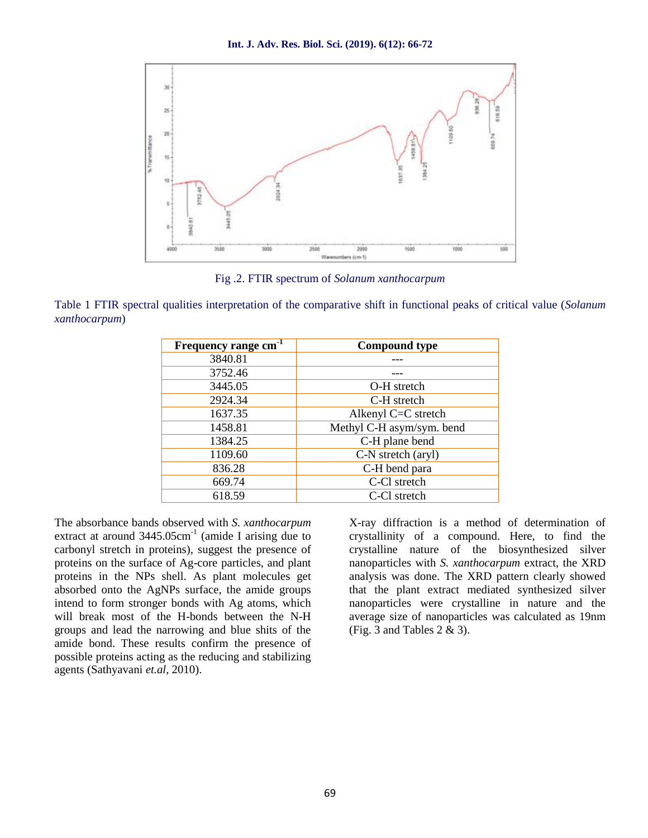

Fig .2. FTIR spectrum of *Solanum xanthocarpum*

Table 1 FTIR spectral qualities interpretation of the comparative shift in functional peaks of critical value (*Solanum xanthocarpum*)

| Frequency range cm <sup>-1</sup> | <b>Compound type</b>      |  |
|----------------------------------|---------------------------|--|
| 3840.81                          |                           |  |
| 3752.46                          |                           |  |
| 3445.05                          | O-H stretch               |  |
| 2924.34                          | C-H stretch               |  |
| 1637.35                          | Alkenyl C=C stretch       |  |
| 1458.81                          | Methyl C-H asym/sym. bend |  |
| 1384.25                          | C-H plane bend            |  |
| 1109.60                          | C-N stretch (aryl)        |  |
| 836.28                           | C-H bend para             |  |
| 669.74                           | C-Cl stretch              |  |
| 618.59                           | C-Cl stretch              |  |

The absorbance bands observed with *S. xanthocarpum* extract at around  $3445.05 \text{cm}^{-1}$  (amide I arising due to carbonyl stretch in proteins), suggest the presence of proteins on the surface of Ag-core particles, and plant proteins in the NPs shell. As plant molecules get absorbed onto the AgNPs surface, the amide groups intend to form stronger bonds with Ag atoms, which will break most of the H-bonds between the N-H groups and lead the narrowing and blue shits of the amide bond. These results confirm the presence of possible proteins acting as the reducing and stabilizing agents (Sathyavani *et.al*, 2010).

X-ray diffraction is a method of determination of crystallinity of a compound. Here, to find the crystalline nature of the biosynthesized silver nanoparticles with *S. xanthocarpum* extract, the XRD analysis was done. The XRD pattern clearly showed that the plant extract mediated synthesized silver nanoparticles were crystalline in nature and the average size of nanoparticles was calculated as 19nm (Fig. 3 and Tables  $2 \& 3$ ).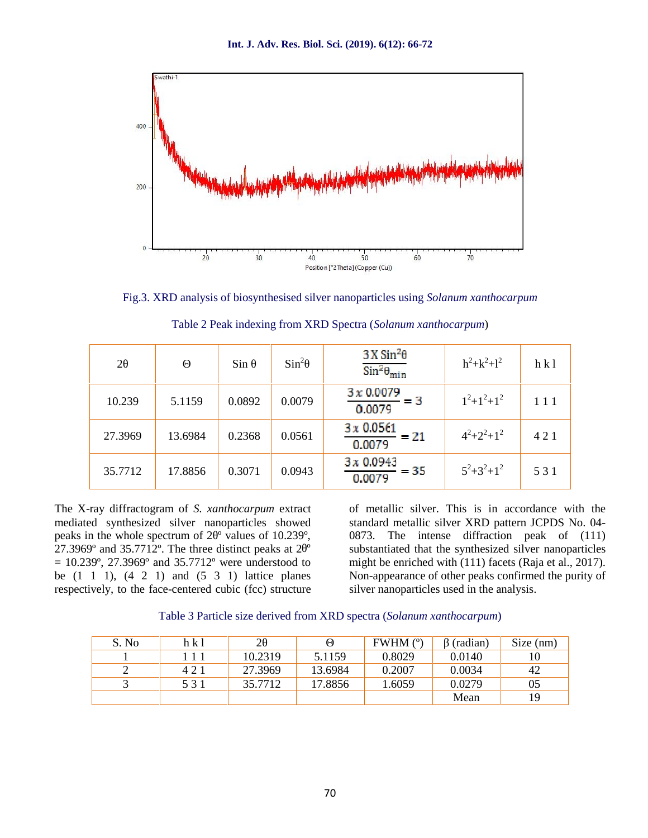

Fig.3. XRD analysis of biosynthesised silver nanoparticles using *Solanum xanthocarpum*

| $\overline{2}$ |         | Sin    | $Sin^2$ | $3X \sin^2\theta$<br>$\sin^2\theta_{\text{min}}$ | $h^2 + k^2 + l^2$ | h k1 |  |
|----------------|---------|--------|---------|--------------------------------------------------|-------------------|------|--|
| 10.239         | 5.1159  | 0.0892 | 0.0079  | 3x0.0079<br>- 3<br>0.0079                        | $1^2+1^2+1^2$     | 111  |  |
| 27.3969        | 13.6984 | 0.2368 | 0.0561  | 3x 0.0561<br>$= 21$<br>0.0079                    | $4^2+2^2+1^2$     | 421  |  |
| 35.7712        | 17.8856 | 0.3071 | 0.0943  | 3x0.0943<br>$= 35$<br>0.0079                     | $5^2+3^2+1^2$     | 531  |  |

Table 2 Peak indexing from XRD Spectra (*Solanum xanthocarpum*)

The X-ray diffractogram of *S. xanthocarpum* extract mediated synthesized silver nanoparticles showed peaks in the whole spectrum of 2<sup>°</sup> values of 10.239°, 27.3969 $^{\circ}$  and 35.7712 $^{\circ}$ . The three distinct peaks at 2 $^{\circ}$  $= 10.239^{\circ}, 27.3969^{\circ}$  and  $35.7712^{\circ}$  were understood to be  $(1 \ 1 \ 1)$ ,  $(4 \ 2 \ 1)$  and  $(5 \ 3 \ 1)$  lattice planes respectively, to the face-centered cubic (fcc) structure of metallic silver. This is in accordance with the standard metallic silver XRD pattern JCPDS No. 04- 0873. The intense diffraction peak of (111) substantiated that the synthesized silver nanoparticles might be enriched with (111) facets (Raja et al., 2017). Non-appearance of other peaks confirmed the purity of silver nanoparticles used in the analysis.

|  | Table 3 Particle size derived from XRD spectra (Solanum xanthocarpum) |  |  |  |
|--|-----------------------------------------------------------------------|--|--|--|
|--|-----------------------------------------------------------------------|--|--|--|

| S. No | h k l |         |         | FWHM (°) | (radian) | Size (nm) |
|-------|-------|---------|---------|----------|----------|-----------|
|       | 11    | 10.2319 | 5.1159  | 0.8029   | 0.0140   | 10        |
|       | 421   | 27.3969 | 13.6984 | 0.2007   | 0.0034   | 42        |
|       | 531   | 35.7712 | 17.8856 | 1.6059   | 0.0279   | 05        |
|       |       |         |         |          | Mean     | 19        |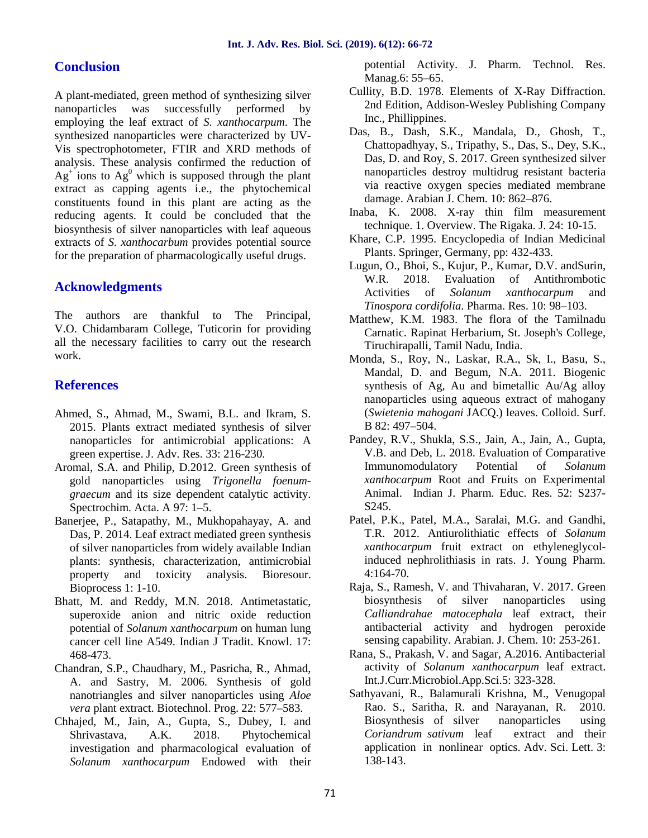## **Conclusion**

A plant-mediated, green method of synthesizing silver nanoparticles was successfully performed by employing the leaf extract of *S. xanthocarpum*. The synthesized nanoparticles were characterized by UV- Vis spectrophotometer, FTIR and XRD methods of analysis. These analysis confirmed the reduction of  $Ag<sup>+</sup>$  ions to  $Ag<sup>0</sup>$  which is supposed through the plant extract as capping agents i.e., the phytochemical constituents found in this plant are acting as the reducing agents. It could be concluded that the biosynthesis of silver nanoparticles with leaf aqueous extracts of *S. xanthocarbum* provides potential source for the preparation of pharmacologically useful drugs.

## **Acknowledgments**

The authors are thankful to The Principal, V.O. Chidambaram College, Tuticorin for providing all the necessary facilities to carry out the research work.

## **References**

- Ahmed, S., Ahmad, M., Swami, B.L. and Ikram, S. 2015. Plants extract mediated synthesis of silver nanoparticles for antimicrobial applications: A green expertise. J. Adv. Res. 33: 216-230.
- Aromal, S.A. and Philip, D.2012. Green synthesis of gold nanoparticles using *Trigonella foenum graecum* and its size dependent catalytic activity. Spectrochim. Acta. A 97: 1–5.
- Banerjee, P., Satapathy, M., Mukhopahayay, A. and Das, P. 2014. Leaf extract mediated green synthesis of silver nanoparticles from widely available Indian plants: synthesis, characterization, antimicrobial property and toxicity analysis. Bioresour. Bioprocess 1: 1-10.
- Bhatt, M. and Reddy, M.N. 2018. Antimetastatic, superoxide anion and nitric oxide reduction potential of *Solanum xanthocarpum* on human lung cancer cell line A549. Indian J Tradit. Knowl. 17: 468-473.
- Chandran, S.P., Chaudhary, M., Pasricha, R., Ahmad, A. and Sastry, M. 2006. Synthesis of gold nanotriangles and silver nanoparticles using *Aloe vera* plant extract. Biotechnol. Prog. 22: 577–583.
- Chhajed, M., Jain, A., Gupta, S., Dubey, I. and Shrivastava, A.K. 2018. Phytochemical investigation and pharmacological evaluation of *Solanum xanthocarpum* Endowed with their

potential Activity. J. Pharm. Technol. Res. Manag.6: 55–65.

- Cullity, B.D. 1978. Elements of X-Ray Diffraction. 2nd Edition, Addison-Wesley Publishing Company Inc., Phillippines.
- Das, B., Dash, S.K., Mandala, D., Ghosh, T., Chattopadhyay, S., Tripathy, S., Das, S., Dey, S.K., Das, D. and Roy, S. 2017. Green synthesized silver nanoparticles destroy multidrug resistant bacteria via reactive oxygen species mediated membrane damage. Arabian J. Chem. 10: 862–876.
- Inaba, K. 2008. X-ray thin film measurement technique. 1. Overview. The Rigaka. J. 24: 10-15.
- Khare, C.P. 1995. Encyclopedia of Indian Medicinal Plants. Springer, Germany, pp: 432-433.
- Lugun, O., Bhoi, S., Kujur, P., Kumar, D.V. andSurin, W.R. 2018. Evaluation of Antithrombotic Activities of *Solanum xanthocarpum* and *Tinospora cordifolia*. Pharma. Res. 10: 98–103.
- Matthew, K.M. 1983. The flora of the Tamilnadu Carnatic. Rapinat Herbarium, St. Joseph's College, Tiruchirapalli, Tamil Nadu, India.
- Monda, S., Roy, N., Laskar, R.A., Sk, I., Basu, S., Mandal, D. and Begum, N.A. 2011. Biogenic synthesis of Ag, Au and bimetallic Au/Ag alloy nanoparticles using aqueous extract of mahogany (*Swietenia mahogani* JACQ.) leaves. Colloid. Surf. B 82: 497–504.
- Pandey, R.V., Shukla, S.S., Jain, A., Jain, A., Gupta, V.B. and Deb, L. 2018. Evaluation of Comparative Immunomodulatory Potential of *Solanum xanthocarpum* Root and Fruits on Experimental Animal. Indian J. Pharm. Educ. Res. 52: S237- S245.
- Patel, P.K., Patel, M.A., Saralai, M.G. and Gandhi, T.R. 2012. Antiurolithiatic effects of *Solanum xanthocarpum* fruit extract on ethyleneglycolinduced nephrolithiasis in rats. J. Young Pharm. 4:164-70.
- Raja, S., Ramesh, V. and Thivaharan, V. 2017. Green biosynthesis of silver nanoparticles using *Calliandrahae matocephala* leaf extract, their antibacterial activity and hydrogen peroxide sensing capability. Arabian. J. Chem. 10: 253-261.
- Rana, S., Prakash, V. and Sagar, A.2016. Antibacterial activity of *Solanum xanthocarpum* leaf extract. Int.J.Curr.Microbiol.App.Sci.5: 323-328.
- Sathyavani, R., Balamurali Krishna, M., Venugopal Rao. S., Saritha, R. and Narayanan, R. 2010. Biosynthesis of silver nanoparticles using *Coriandrum sativum* leaf extract and their application in nonlinear optics. Adv. Sci. Lett. 3: 138-143.